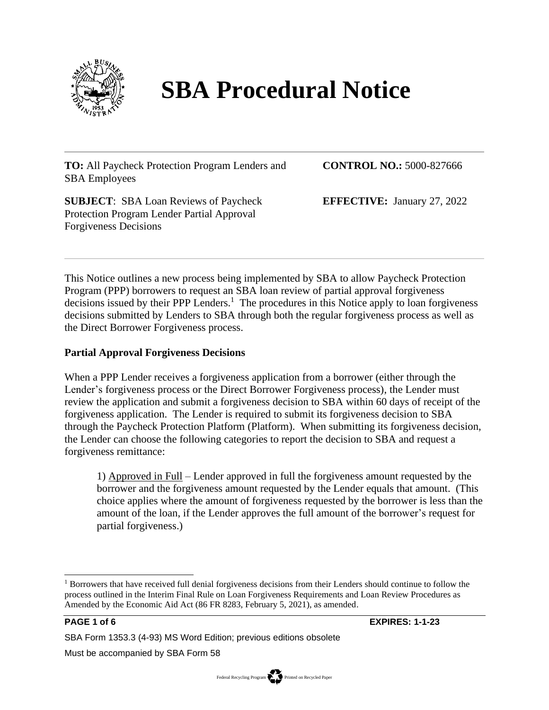

# **SBA Procedural Notice**

**TO:** All Paycheck Protection Program Lenders and SBA Employees

**SUBJECT**: SBA Loan Reviews of Paycheck Protection Program Lender Partial Approval Forgiveness Decisions

**CONTROL NO.:** 5000-827666

**EFFECTIVE:** January 27, 2022

This Notice outlines a new process being implemented by SBA to allow Paycheck Protection Program (PPP) borrowers to request an SBA loan review of partial approval forgiveness decisions issued by their PPP Lenders.<sup>1</sup> The procedures in this Notice apply to loan forgiveness decisions submitted by Lenders to SBA through both the regular forgiveness process as well as the Direct Borrower Forgiveness process.

# **Partial Approval Forgiveness Decisions**

When a PPP Lender receives a forgiveness application from a borrower (either through the Lender's forgiveness process or the Direct Borrower Forgiveness process), the Lender must review the application and submit a forgiveness decision to SBA within 60 days of receipt of the forgiveness application. The Lender is required to submit its forgiveness decision to SBA through the Paycheck Protection Platform (Platform). When submitting its forgiveness decision, the Lender can choose the following categories to report the decision to SBA and request a forgiveness remittance:

1) Approved in Full – Lender approved in full the forgiveness amount requested by the borrower and the forgiveness amount requested by the Lender equals that amount. (This choice applies where the amount of forgiveness requested by the borrower is less than the amount of the loan, if the Lender approves the full amount of the borrower's request for partial forgiveness.)

**PAGE 1 of 6 EXPIRES: 1-1-23**

SBA Form 1353.3 (4-93) MS Word Edition; previous editions obsolete

Must be accompanied by SBA Form 58

<sup>&</sup>lt;sup>1</sup> Borrowers that have received full denial forgiveness decisions from their Lenders should continue to follow the process outlined in the Interim Final Rule on Loan Forgiveness Requirements and Loan Review Procedures as Amended by the Economic Aid Act (86 FR 8283, February 5, 2021), as amended.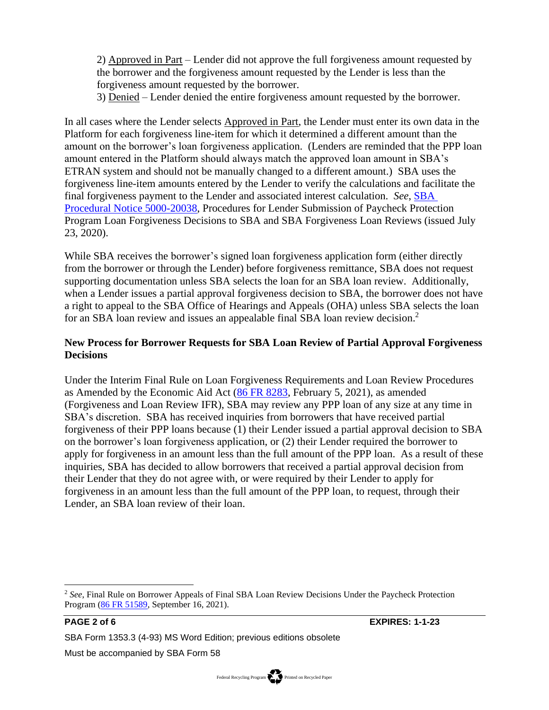2) Approved in Part – Lender did not approve the full forgiveness amount requested by the borrower and the forgiveness amount requested by the Lender is less than the forgiveness amount requested by the borrower.

3) Denied – Lender denied the entire forgiveness amount requested by the borrower.

In all cases where the Lender selects Approved in Part, the Lender must enter its own data in the Platform for each forgiveness line-item for which it determined a different amount than the amount on the borrower's loan forgiveness application. (Lenders are reminded that the PPP loan amount entered in the Platform should always match the approved loan amount in SBA's ETRAN system and should not be manually changed to a different amount.) SBA uses the forgiveness line-item amounts entered by the Lender to verify the calculations and facilitate the final forgiveness payment to the Lender and associated interest calculation. *See*, [SBA](https://www.sba.gov/document/procedural-notice-5000-20038-procedures-lender-submission-paycheck-protection-program-loan-forgiveness-decisions-sba-sba)  [Procedural Notice 5000-20038,](https://www.sba.gov/document/procedural-notice-5000-20038-procedures-lender-submission-paycheck-protection-program-loan-forgiveness-decisions-sba-sba) Procedures for Lender Submission of Paycheck Protection Program Loan Forgiveness Decisions to SBA and SBA Forgiveness Loan Reviews (issued July 23, 2020).

While SBA receives the borrower's signed loan forgiveness application form (either directly from the borrower or through the Lender) before forgiveness remittance, SBA does not request supporting documentation unless SBA selects the loan for an SBA loan review. Additionally, when a Lender issues a partial approval forgiveness decision to SBA, the borrower does not have a right to appeal to the SBA Office of Hearings and Appeals (OHA) unless SBA selects the loan for an SBA loan review and issues an appealable final SBA loan review decision.<sup>2</sup>

# **New Process for Borrower Requests for SBA Loan Review of Partial Approval Forgiveness Decisions**

Under the Interim Final Rule on Loan Forgiveness Requirements and Loan Review Procedures as Amended by the Economic Aid Act [\(86 FR 8283,](https://www.federalregister.gov/documents/2021/02/05/2021-02314/business-loan-program-temporary-changes-paycheck-protection-program-loan-forgiveness-requirements) February 5, 2021), as amended (Forgiveness and Loan Review IFR), SBA may review any PPP loan of any size at any time in SBA's discretion. SBA has received inquiries from borrowers that have received partial forgiveness of their PPP loans because (1) their Lender issued a partial approval decision to SBA on the borrower's loan forgiveness application, or (2) their Lender required the borrower to apply for forgiveness in an amount less than the full amount of the PPP loan. As a result of these inquiries, SBA has decided to allow borrowers that received a partial approval decision from their Lender that they do not agree with, or were required by their Lender to apply for forgiveness in an amount less than the full amount of the PPP loan, to request, through their Lender, an SBA loan review of their loan.

**PAGE 2 of 6 EXPIRES: 1-1-23**

SBA Form 1353.3 (4-93) MS Word Edition; previous editions obsolete

Must be accompanied by SBA Form 58

<sup>2</sup> *See*, Final Rule on Borrower Appeals of Final SBA Loan Review Decisions Under the Paycheck Protection Program [\(86 FR 51589,](https://www.federalregister.gov/documents/2021/09/16/2021-19985/borrower-appeals-of-final-sba-loan-review-decisions-under-the-paycheck-protection-program) September 16, 2021).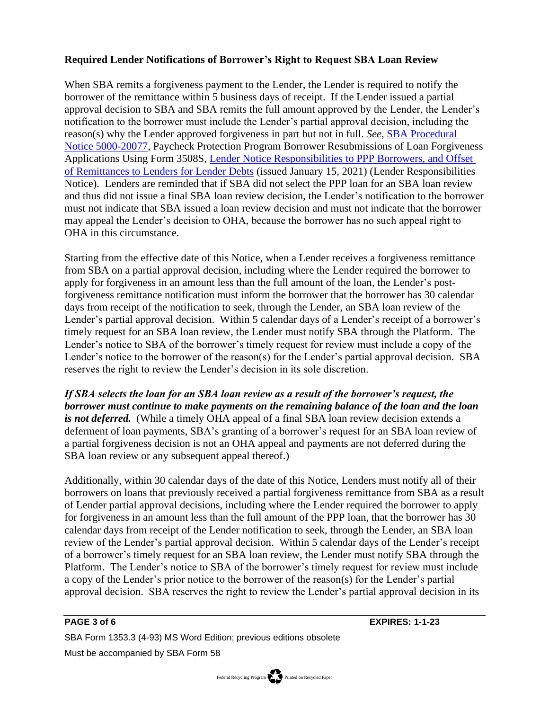# **Required Lender Notifications of Borrower's Right to Request SBA Loan Review**

When SBA remits a forgiveness payment to the Lender, the Lender is required to notify the borrower of the remittance within 5 business days of receipt. If the Lender issued a partial approval decision to SBA and SBA remits the full amount approved by the Lender, the Lender's notification to the borrower must include the Lender's partial approval decision, including the reason(s) why the Lender approved forgiveness in part but not in full. *See*, [SBA Procedural](https://www.sba.gov/document/procedural-notice-5000-20077-ppp-borrower-resubmissions-loan-forgiveness-applications-using-form-3508s-lender-notice)  [Notice 5000-20077,](https://www.sba.gov/document/procedural-notice-5000-20077-ppp-borrower-resubmissions-loan-forgiveness-applications-using-form-3508s-lender-notice) Paycheck Protection Program Borrower Resubmissions of Loan Forgiveness Applications Using Form 3508S, [Lender Notice Responsibilities to PPP Borrowers, and Offset](https://www.sba.gov/document/procedural-notice-5000-20077-ppp-borrower-resubmissions-loan-forgiveness-applications-using-form-3508s-lender-notice)  [of Remittances to Lenders for Lender Debts](https://www.sba.gov/document/procedural-notice-5000-20077-ppp-borrower-resubmissions-loan-forgiveness-applications-using-form-3508s-lender-notice) (issued January 15, 2021) (Lender Responsibilities Notice). Lenders are reminded that if SBA did not select the PPP loan for an SBA loan review and thus did not issue a final SBA loan review decision, the Lender's notification to the borrower must not indicate that SBA issued a loan review decision and must not indicate that the borrower may appeal the Lender's decision to OHA, because the borrower has no such appeal right to OHA in this circumstance.

Starting from the effective date of this Notice, when a Lender receives a forgiveness remittance from SBA on a partial approval decision, including where the Lender required the borrower to apply for forgiveness in an amount less than the full amount of the loan, the Lender's postforgiveness remittance notification must inform the borrower that the borrower has 30 calendar days from receipt of the notification to seek, through the Lender, an SBA loan review of the Lender's partial approval decision. Within 5 calendar days of a Lender's receipt of a borrower's timely request for an SBA loan review, the Lender must notify SBA through the Platform. The Lender's notice to SBA of the borrower's timely request for review must include a copy of the Lender's notice to the borrower of the reason(s) for the Lender's partial approval decision. SBA reserves the right to review the Lender's decision in its sole discretion.

*If SBA selects the loan for an SBA loan review as a result of the borrower's request, the borrower must continue to make payments on the remaining balance of the loan and the loan is not deferred.* (While a timely OHA appeal of a final SBA loan review decision extends a deferment of loan payments, SBA's granting of a borrower's request for an SBA loan review of a partial forgiveness decision is not an OHA appeal and payments are not deferred during the SBA loan review or any subsequent appeal thereof.)

Additionally, within 30 calendar days of the date of this Notice, Lenders must notify all of their borrowers on loans that previously received a partial forgiveness remittance from SBA as a result of Lender partial approval decisions, including where the Lender required the borrower to apply for forgiveness in an amount less than the full amount of the PPP loan, that the borrower has 30 calendar days from receipt of the Lender notification to seek, through the Lender, an SBA loan review of the Lender's partial approval decision. Within 5 calendar days of the Lender's receipt of a borrower's timely request for an SBA loan review, the Lender must notify SBA through the Platform. The Lender's notice to SBA of the borrower's timely request for review must include a copy of the Lender's prior notice to the borrower of the reason(s) for the Lender's partial approval decision. SBA reserves the right to review the Lender's partial approval decision in its

**PAGE 3 of 6 EXPIRES: 1-1-23**

SBA Form 1353.3 (4-93) MS Word Edition; previous editions obsolete Must be accompanied by SBA Form 58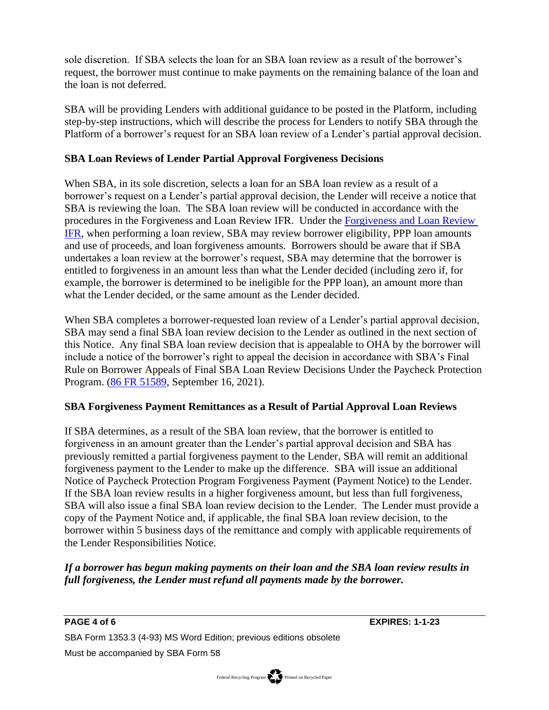sole discretion. If SBA selects the loan for an SBA loan review as a result of the borrower's request, the borrower must continue to make payments on the remaining balance of the loan and the loan is not deferred.

SBA will be providing Lenders with additional guidance to be posted in the Platform, including step-by-step instructions, which will describe the process for Lenders to notify SBA through the Platform of a borrower's request for an SBA loan review of a Lender's partial approval decision.

# **SBA Loan Reviews of Lender Partial Approval Forgiveness Decisions**

When SBA, in its sole discretion, selects a loan for an SBA loan review as a result of a borrower's request on a Lender's partial approval decision, the Lender will receive a notice that SBA is reviewing the loan. The SBA loan review will be conducted in accordance with the procedures in the Forgiveness and Loan Review IFR. Under the [Forgiveness and Loan Review](https://www.federalregister.gov/documents/2021/02/05/2021-02314/business-loan-program-temporary-changes-paycheck-protection-program-loan-forgiveness-requirements) [IFR,](https://www.federalregister.gov/documents/2021/02/05/2021-02314/business-loan-program-temporary-changes-paycheck-protection-program-loan-forgiveness-requirements) when performing a loan review, SBA may review borrower eligibility, PPP loan amounts and use of proceeds, and loan forgiveness amounts. Borrowers should be aware that if SBA undertakes a loan review at the borrower's request, SBA may determine that the borrower is entitled to forgiveness in an amount less than what the Lender decided (including zero if, for example, the borrower is determined to be ineligible for the PPP loan), an amount more than what the Lender decided, or the same amount as the Lender decided.

When SBA completes a borrower-requested loan review of a Lender's partial approval decision, SBA may send a final SBA loan review decision to the Lender as outlined in the next section of this Notice. Any final SBA loan review decision that is appealable to OHA by the borrower will include a notice of the borrower's right to appeal the decision in accordance with SBA's Final Rule on Borrower Appeals of Final SBA Loan Review Decisions Under the Paycheck Protection Program. [\(86 FR 51589,](https://www.federalregister.gov/documents/2021/09/16/2021-19985/borrower-appeals-of-final-sba-loan-review-decisions-under-the-paycheck-protection-program) September 16, 2021).

### **SBA Forgiveness Payment Remittances as a Result of Partial Approval Loan Reviews**

If SBA determines, as a result of the SBA loan review, that the borrower is entitled to forgiveness in an amount greater than the Lender's partial approval decision and SBA has previously remitted a partial forgiveness payment to the Lender, SBA will remit an additional forgiveness payment to the Lender to make up the difference. SBA will issue an additional Notice of Paycheck Protection Program Forgiveness Payment (Payment Notice) to the Lender. If the SBA loan review results in a higher forgiveness amount, but less than full forgiveness, SBA will also issue a final SBA loan review decision to the Lender. The Lender must provide a copy of the Payment Notice and, if applicable, the final SBA loan review decision, to the borrower within 5 business days of the remittance and comply with applicable requirements of the Lender Responsibilities Notice.

# *If a borrower has begun making payments on their loan and the SBA loan review results in full forgiveness, the Lender must refund all payments made by the borrower.*

**PAGE 4 of 6 EXPIRES: 1-1-23**

SBA Form 1353.3 (4-93) MS Word Edition; previous editions obsolete Must be accompanied by SBA Form 58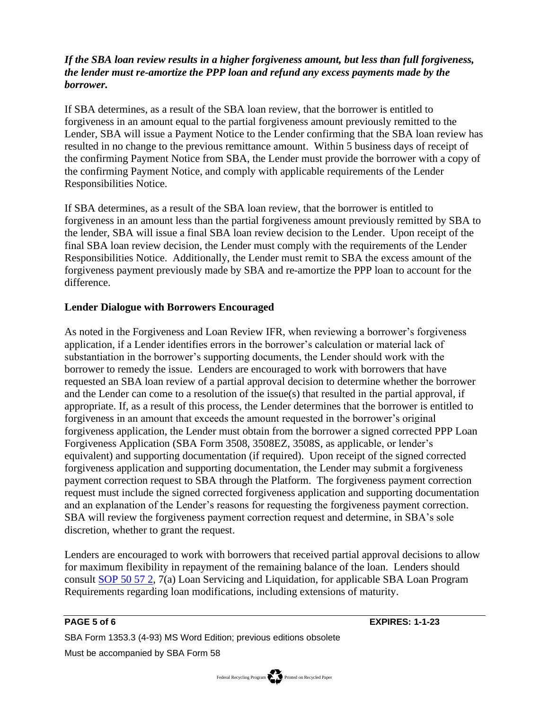# *If the SBA loan review results in a higher forgiveness amount, but less than full forgiveness, the lender must re-amortize the PPP loan and refund any excess payments made by the borrower.*

If SBA determines, as a result of the SBA loan review, that the borrower is entitled to forgiveness in an amount equal to the partial forgiveness amount previously remitted to the Lender, SBA will issue a Payment Notice to the Lender confirming that the SBA loan review has resulted in no change to the previous remittance amount. Within 5 business days of receipt of the confirming Payment Notice from SBA, the Lender must provide the borrower with a copy of the confirming Payment Notice, and comply with applicable requirements of the Lender Responsibilities Notice.

If SBA determines, as a result of the SBA loan review, that the borrower is entitled to forgiveness in an amount less than the partial forgiveness amount previously remitted by SBA to the lender, SBA will issue a final SBA loan review decision to the Lender. Upon receipt of the final SBA loan review decision, the Lender must comply with the requirements of the Lender Responsibilities Notice. Additionally, the Lender must remit to SBA the excess amount of the forgiveness payment previously made by SBA and re-amortize the PPP loan to account for the difference.

# **Lender Dialogue with Borrowers Encouraged**

As noted in the Forgiveness and Loan Review IFR, when reviewing a borrower's forgiveness application, if a Lender identifies errors in the borrower's calculation or material lack of substantiation in the borrower's supporting documents, the Lender should work with the borrower to remedy the issue. Lenders are encouraged to work with borrowers that have requested an SBA loan review of a partial approval decision to determine whether the borrower and the Lender can come to a resolution of the issue(s) that resulted in the partial approval, if appropriate. If, as a result of this process, the Lender determines that the borrower is entitled to forgiveness in an amount that exceeds the amount requested in the borrower's original forgiveness application, the Lender must obtain from the borrower a signed corrected PPP Loan Forgiveness Application (SBA Form 3508, 3508EZ, 3508S, as applicable, or lender's equivalent) and supporting documentation (if required). Upon receipt of the signed corrected forgiveness application and supporting documentation, the Lender may submit a forgiveness payment correction request to SBA through the Platform. The forgiveness payment correction request must include the signed corrected forgiveness application and supporting documentation and an explanation of the Lender's reasons for requesting the forgiveness payment correction. SBA will review the forgiveness payment correction request and determine, in SBA's sole discretion, whether to grant the request.

Lenders are encouraged to work with borrowers that received partial approval decisions to allow for maximum flexibility in repayment of the remaining balance of the loan. Lenders should consult [SOP 50 57 2,](https://www.sba.gov/document/sop-50-57-7a-loan-servicing-and-liquidation) 7(a) Loan Servicing and Liquidation, for applicable SBA Loan Program Requirements regarding loan modifications, including extensions of maturity.

**PAGE 5 of 6 EXPIRES: 1-1-23**

SBA Form 1353.3 (4-93) MS Word Edition; previous editions obsolete Must be accompanied by SBA Form 58